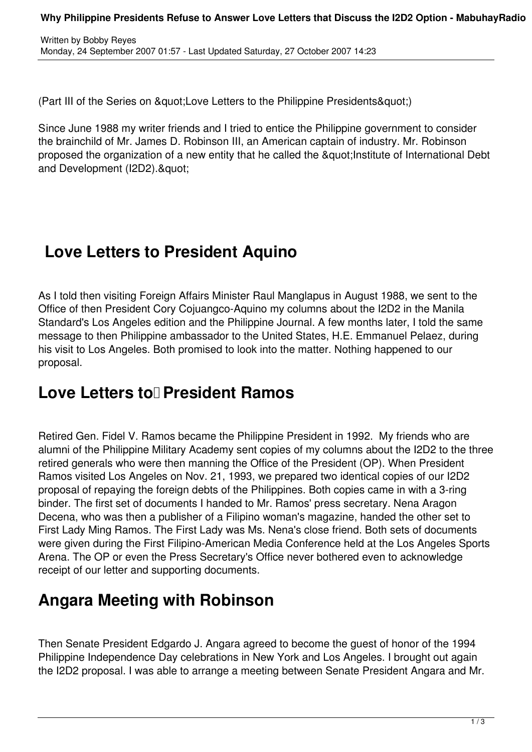(Part III of the Series on & quot; Love Letters to the Philippine Presidents & quot;)

Since June 1988 my writer friends and I tried to entice the Philippine government to consider the brainchild of Mr. James D. Robinson III, an American captain of industry. Mr. Robinson proposed the organization of a new entity that he called the &quot: Institute of International Debt and Development (I2D2). & quot;

# **Love Letters to President Aquino**

As I told then visiting Foreign Affairs Minister Raul Manglapus in August 1988, we sent to the Office of then President Cory Cojuangco-Aquino my columns about the I2D2 in the Manila Standard's Los Angeles edition and the Philippine Journal. A few months later, I told the same message to then Philippine ambassador to the United States, H.E. Emmanuel Pelaez, during his visit to Los Angeles. Both promised to look into the matter. Nothing happened to our proposal.

#### Love Letters to **President Ramos**

Retired Gen. Fidel V. Ramos became the Philippine President in 1992. My friends who are alumni of the Philippine Military Academy sent copies of my columns about the I2D2 to the three retired generals who were then manning the Office of the President (OP). When President Ramos visited Los Angeles on Nov. 21, 1993, we prepared two identical copies of our I2D2 proposal of repaying the foreign debts of the Philippines. Both copies came in with a 3-ring binder. The first set of documents I handed to Mr. Ramos' press secretary. Nena Aragon Decena, who was then a publisher of a Filipino woman's magazine, handed the other set to First Lady Ming Ramos. The First Lady was Ms. Nena's close friend. Both sets of documents were given during the First Filipino-American Media Conference held at the Los Angeles Sports Arena. The OP or even the Press Secretary's Office never bothered even to acknowledge receipt of our letter and supporting documents.

## **Angara Meeting with Robinson**

Then Senate President Edgardo J. Angara agreed to become the guest of honor of the 1994 Philippine Independence Day celebrations in New York and Los Angeles. I brought out again the I2D2 proposal. I was able to arrange a meeting between Senate President Angara and Mr.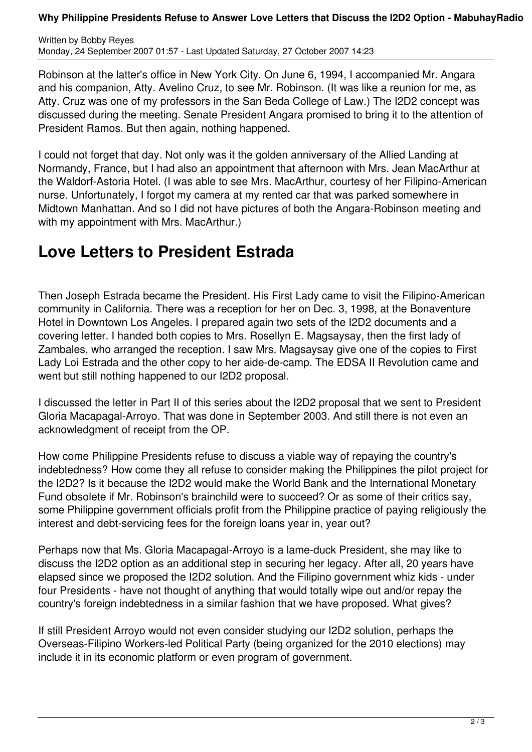#### **Why Philippine Presidents Refuse to Answer Love Letters that Discuss the I2D2 Option - MabuhayRadio**

Written by Bobby Reyes Monday, 24 September 2007 01:57 - Last Updated Saturday, 27 October 2007 14:23

Robinson at the latter's office in New York City. On June 6, 1994, I accompanied Mr. Angara and his companion, Atty. Avelino Cruz, to see Mr. Robinson. (It was like a reunion for me, as Atty. Cruz was one of my professors in the San Beda College of Law.) The I2D2 concept was discussed during the meeting. Senate President Angara promised to bring it to the attention of President Ramos. But then again, nothing happened.

I could not forget that day. Not only was it the golden anniversary of the Allied Landing at Normandy, France, but I had also an appointment that afternoon with Mrs. Jean MacArthur at the Waldorf-Astoria Hotel. (I was able to see Mrs. MacArthur, courtesy of her Filipino-American nurse. Unfortunately, I forgot my camera at my rented car that was parked somewhere in Midtown Manhattan. And so I did not have pictures of both the Angara-Robinson meeting and with my appointment with Mrs. MacArthur.)

### **Love Letters to President Estrada**

Then Joseph Estrada became the President. His First Lady came to visit the Filipino-American community in California. There was a reception for her on Dec. 3, 1998, at the Bonaventure Hotel in Downtown Los Angeles. I prepared again two sets of the I2D2 documents and a covering letter. I handed both copies to Mrs. Rosellyn E. Magsaysay, then the first lady of Zambales, who arranged the reception. I saw Mrs. Magsaysay give one of the copies to First Lady Loi Estrada and the other copy to her aide-de-camp. The EDSA II Revolution came and went but still nothing happened to our I2D2 proposal.

I discussed the letter in Part II of this series about the I2D2 proposal that we sent to President Gloria Macapagal-Arroyo. That was done in September 2003. And still there is not even an acknowledgment of receipt from the OP.

How come Philippine Presidents refuse to discuss a viable way of repaying the country's indebtedness? How come they all refuse to consider making the Philippines the pilot project for the I2D2? Is it because the I2D2 would make the World Bank and the International Monetary Fund obsolete if Mr. Robinson's brainchild were to succeed? Or as some of their critics say, some Philippine government officials profit from the Philippine practice of paying religiously the interest and debt-servicing fees for the foreign loans year in, year out?

Perhaps now that Ms. Gloria Macapagal-Arroyo is a lame-duck President, she may like to discuss the I2D2 option as an additional step in securing her legacy. After all, 20 years have elapsed since we proposed the I2D2 solution. And the Filipino government whiz kids - under four Presidents - have not thought of anything that would totally wipe out and/or repay the country's foreign indebtedness in a similar fashion that we have proposed. What gives?

If still President Arroyo would not even consider studying our I2D2 solution, perhaps the Overseas-Filipino Workers-led Political Party (being organized for the 2010 elections) may include it in its economic platform or even program of government.